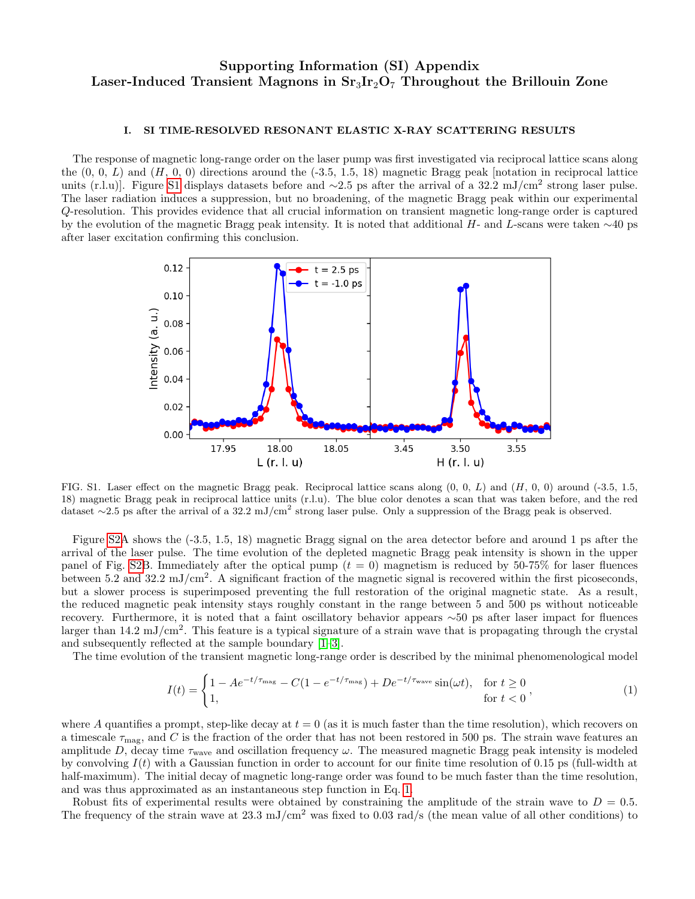# Supporting Information (SI) Appendix Laser-Induced Transient Magnons in  $Sr<sub>3</sub>Ir<sub>2</sub>O<sub>7</sub>$  Throughout the Brillouin Zone

## I. SI TIME-RESOLVED RESONANT ELASTIC X-RAY SCATTERING RESULTS

The response of magnetic long-range order on the laser pump was first investigated via reciprocal lattice scans along the  $(0, 0, L)$  and  $(H, 0, 0)$  directions around the  $(-3.5, 1.5, 18)$  magnetic Bragg peak [notation in reciprocal lattice units (r.l.u). Figure [S1](#page-0-0) displays datasets before and  $\sim$ 2.5 ps after the arrival of a 32.2 mJ/cm<sup>2</sup> strong laser pulse. The laser radiation induces a suppression, but no broadening, of the magnetic Bragg peak within our experimental Q-resolution. This provides evidence that all crucial information on transient magnetic long-range order is captured by the evolution of the magnetic Bragg peak intensity. It is noted that additional H- and L-scans were taken ∼40 ps after laser excitation confirming this conclusion.



<span id="page-0-0"></span>FIG. S1. Laser effect on the magnetic Bragg peak. Reciprocal lattice scans along  $(0, 0, L)$  and  $(H, 0, 0)$  around (-3.5, 1.5, 18) magnetic Bragg peak in reciprocal lattice units (r.l.u). The blue color denotes a scan that was taken before, and the red dataset  $\sim$ 2.5 ps after the arrival of a 32.2 mJ/cm<sup>2</sup> strong laser pulse. Only a suppression of the Bragg peak is observed.

Figure [S2A](#page-1-0) shows the (-3.5, 1.5, 18) magnetic Bragg signal on the area detector before and around 1 ps after the arrival of the laser pulse. The time evolution of the depleted magnetic Bragg peak intensity is shown in the upper panel of Fig. [S2B](#page-1-0). Immediately after the optical pump  $(t = 0)$  magnetism is reduced by 50-75% for laser fluences between 5.2 and 32.2 mJ/cm<sup>2</sup>. A significant fraction of the magnetic signal is recovered within the first picoseconds, but a slower process is superimposed preventing the full restoration of the original magnetic state. As a result, the reduced magnetic peak intensity stays roughly constant in the range between 5 and 500 ps without noticeable recovery. Furthermore, it is noted that a faint oscillatory behavior appears ∼50 ps after laser impact for fluences larger than  $14.2 \text{ mJ/cm}^2$ . This feature is a typical signature of a strain wave that is propagating through the crystal and subsequently reflected at the sample boundary [\[1–](#page-4-0)[3\]](#page-4-1).

The time evolution of the transient magnetic long-range order is described by the minimal phenomenological model

<span id="page-0-1"></span>
$$
I(t) = \begin{cases} 1 - Ae^{-t/\tau_{\text{mag}}} - C(1 - e^{-t/\tau_{\text{mag}}}) + De^{-t/\tau_{\text{wave}}}\sin(\omega t), & \text{for } t \ge 0\\ 1, & \text{for } t < 0 \end{cases}
$$
 (1)

where A quantifies a prompt, step-like decay at  $t = 0$  (as it is much faster than the time resolution), which recovers on a timescale  $\tau_{\text{mag}}$ , and C is the fraction of the order that has not been restored in 500 ps. The strain wave features an amplitude D, decay time  $\tau_{\text{wave}}$  and oscillation frequency  $\omega$ . The measured magnetic Bragg peak intensity is modeled by convolving  $I(t)$  with a Gaussian function in order to account for our finite time resolution of 0.15 ps (full-width at half-maximum). The initial decay of magnetic long-range order was found to be much faster than the time resolution, and was thus approximated as an instantaneous step function in Eq. [1.](#page-0-1)

Robust fits of experimental results were obtained by constraining the amplitude of the strain wave to  $D = 0.5$ . The frequency of the strain wave at  $23.3 \text{ mJ/cm}^2$  was fixed to 0.03 rad/s (the mean value of all other conditions) to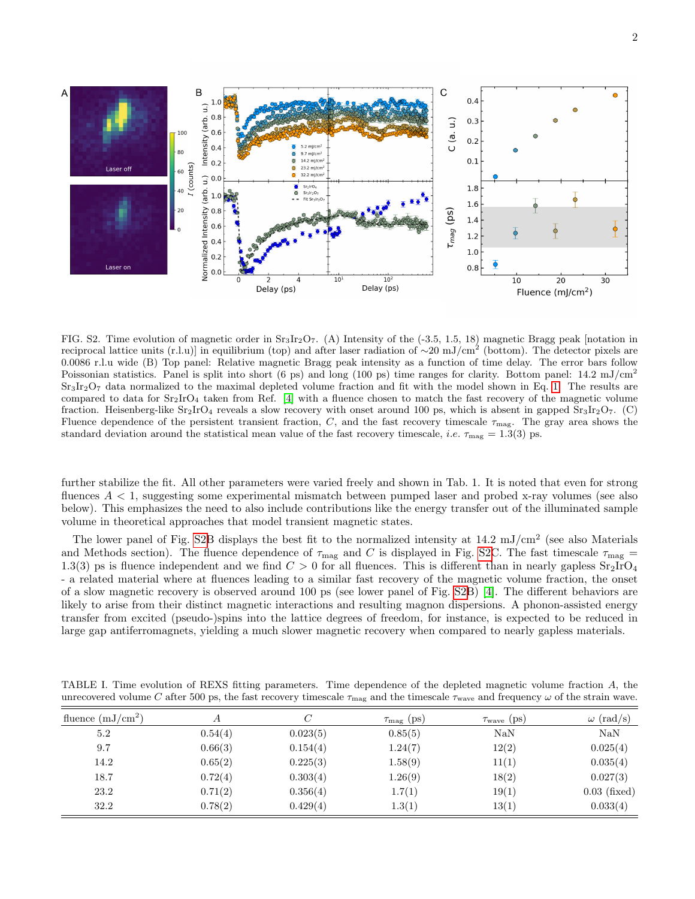

<span id="page-1-0"></span>FIG. S2. Time evolution of magnetic order in  $S_3Ir_2O_7$ . (A) Intensity of the (-3.5, 1.5, 18) magnetic Bragg peak [notation in reciprocal lattice units (r.l.u)] in equilibrium (top) and after laser radiation of ∼20 mJ/cm<sup>2</sup> (bottom). The detector pixels are 0.0086 r.l.u wide (B) Top panel: Relative magnetic Bragg peak intensity as a function of time delay. The error bars follow Poissonian statistics. Panel is split into short (6 ps) and long (100 ps) time ranges for clarity. Bottom panel:  $14.2 \text{ mJ/cm}^2$  $Sr<sub>3</sub>Ir<sub>2</sub>O<sub>7</sub>$  data normalized to the maximal depleted volume fraction and fit with the model shown in Eq. [1.](#page-0-1) The results are compared to data for  $Sr_2IrO_4$  taken from Ref. [\[4\]](#page-4-2) with a fluence chosen to match the fast recovery of the magnetic volume fraction. Heisenberg-like  $Sr_2IrO_4$  reveals a slow recovery with onset around 100 ps, which is absent in gapped  $Sr_3Ir_2O_7$ . (C) Fluence dependence of the persistent transient fraction, C, and the fast recovery timescale  $\tau_{\text{mag}}$ . The gray area shows the standard deviation around the statistical mean value of the fast recovery timescale, *i.e.*  $\tau_{\text{mag}} = 1.3(3)$  ps.

further stabilize the fit. All other parameters were varied freely and shown in Tab. 1. It is noted that even for strong fluences A < 1, suggesting some experimental mismatch between pumped laser and probed x-ray volumes (see also below). This emphasizes the need to also include contributions like the energy transfer out of the illuminated sample volume in theoretical approaches that model transient magnetic states.

The lower panel of Fig. [S2B](#page-1-0) displays the best fit to the normalized intensity at  $14.2 \text{ mJ/cm}^2$  (see also Materials and Methods section). The fluence dependence of  $\tau_{\text{mag}}$  and C is displayed in Fig. [S2C](#page-1-0). The fast timescale  $\tau_{\text{mag}}$  = 1.3(3) ps is fluence independent and we find  $C > 0$  for all fluences. This is different than in nearly gapless  $Sr_2IrO_4$ - a related material where at fluences leading to a similar fast recovery of the magnetic volume fraction, the onset of a slow magnetic recovery is observed around 100 ps (see lower panel of Fig. [S2B](#page-1-0)) [\[4\]](#page-4-2). The different behaviors are likely to arise from their distinct magnetic interactions and resulting magnon dispersions. A phonon-assisted energy transfer from excited (pseudo-)spins into the lattice degrees of freedom, for instance, is expected to be reduced in large gap antiferromagnets, yielding a much slower magnetic recovery when compared to nearly gapless materials.

TABLE I. Time evolution of REXS fitting parameters. Time dependence of the depleted magnetic volume fraction A, the unrecovered volume C after 500 ps, the fast recovery timescale  $\tau_{\text{mag}}$  and the timescale  $\tau_{\text{wave}}$  and frequency  $\omega$  of the strain wave.

| fluence $(mJ/cm^2)$ | А       |          | $\tau_{\text{mag}}$ (ps) | $\tau_{\text{wave}}$ (ps) | $\omega$ (rad/s) |
|---------------------|---------|----------|--------------------------|---------------------------|------------------|
| 5.2                 | 0.54(4) | 0.023(5) | 0.85(5)                  | NaN                       | NaN              |
| 9.7                 | 0.66(3) | 0.154(4) | 1.24(7)                  | 12(2)                     | 0.025(4)         |
| 14.2                | 0.65(2) | 0.225(3) | 1.58(9)                  | 11(1)                     | 0.035(4)         |
| 18.7                | 0.72(4) | 0.303(4) | 1.26(9)                  | 18(2)                     | 0.027(3)         |
| 23.2                | 0.71(2) | 0.356(4) | 1.7(1)                   | 19(1)                     | $0.03$ (fixed)   |
| 32.2                | 0.78(2) | 0.429(4) | 1.3(1)                   | 13(1)                     | 0.033(4)         |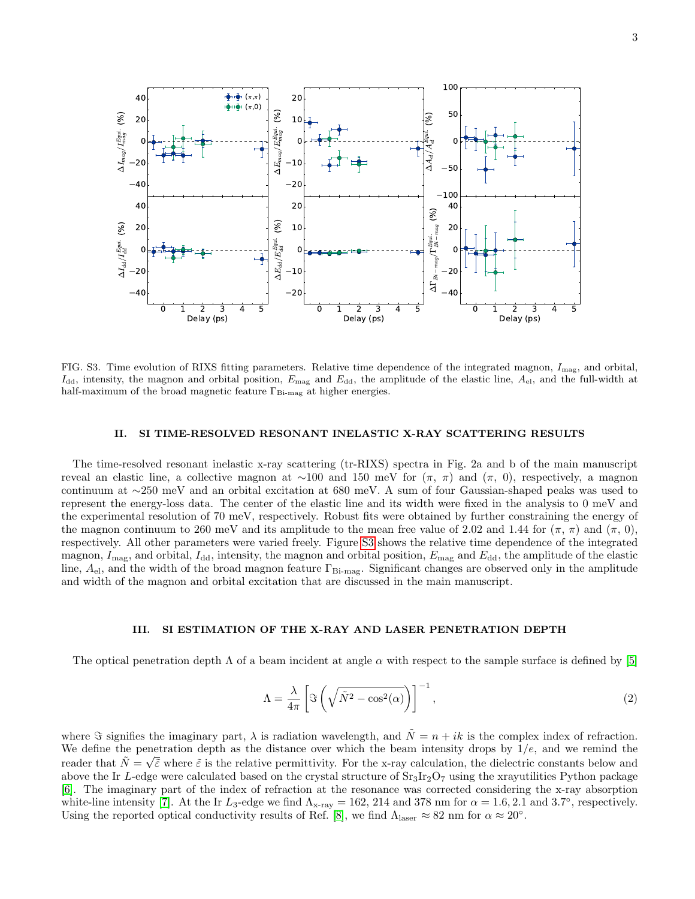

<span id="page-2-0"></span>FIG. S3. Time evolution of RIXS fitting parameters. Relative time dependence of the integrated magnon,  $I_{\text{mag}}$ , and orbital,  $I_{\text{dd}}$ , intensity, the magnon and orbital position,  $E_{\text{mag}}$  and  $E_{\text{dd}}$ , the amplitude of the elastic line,  $A_{\text{el}}$ , and the full-width at half-maximum of the broad magnetic feature  $\Gamma_{\text{Bi-mag}}$  at higher energies.

### II. SI TIME-RESOLVED RESONANT INELASTIC X-RAY SCATTERING RESULTS

The time-resolved resonant inelastic x-ray scattering (tr-RIXS) spectra in Fig. 2a and b of the main manuscript reveal an elastic line, a collective magnon at ∼100 and 150 meV for  $(\pi, \pi)$  and  $(\pi, 0)$ , respectively, a magnon continuum at ∼250 meV and an orbital excitation at 680 meV. A sum of four Gaussian-shaped peaks was used to represent the energy-loss data. The center of the elastic line and its width were fixed in the analysis to 0 meV and the experimental resolution of 70 meV, respectively. Robust fits were obtained by further constraining the energy of the magnon continuum to 260 meV and its amplitude to the mean free value of 2.02 and 1.44 for  $(\pi, \pi)$  and  $(\pi, 0)$ , respectively. All other parameters were varied freely. Figure [S3](#page-2-0) shows the relative time dependence of the integrated magnon,  $I_{\text{mag}}$ , and orbital,  $I_{\text{dd}}$ , intensity, the magnon and orbital position,  $E_{\text{mag}}$  and  $E_{\text{dd}}$ , the amplitude of the elastic line,  $A_{el}$ , and the width of the broad magnon feature  $\Gamma_{Bi-mag}$ . Significant changes are observed only in the amplitude and width of the magnon and orbital excitation that are discussed in the main manuscript.

#### III. SI ESTIMATION OF THE X-RAY AND LASER PENETRATION DEPTH

The optical penetration depth  $\Lambda$  of a beam incident at angle  $\alpha$  with respect to the sample surface is defined by [\[5\]](#page-4-3)

$$
\Lambda = \frac{\lambda}{4\pi} \left[ \Im \left( \sqrt{\tilde{N}^2 - \cos^2(\alpha)} \right) \right]^{-1},\tag{2}
$$

where  $\Im$  signifies the imaginary part,  $\lambda$  is radiation wavelength, and  $\tilde{N} = n + ik$  is the complex index of refraction. We define the penetration depth as the distance over which the beam intensity drops by  $1/e$ , and we remind the reader that  $\tilde{N} = \sqrt{\tilde{\varepsilon}}$  where  $\tilde{\varepsilon}$  is the relative permittivity. For the x-ray calculation, the dielectric constants below and above the Ir L-edge were calculated based on the crystal structure of  $Sr_3Ir_2O_7$  using the xrayutilities Python package [\[6\]](#page-4-4). The imaginary part of the index of refraction at the resonance was corrected considering the x-ray absorption white-line intensity [\[7\]](#page-4-5). At the Ir  $L_3$ -edge we find  $\Lambda_{\text{x-ray}} = 162, 214$  and 378 nm for  $\alpha = 1.6, 2.1$  and 3.7°, respectively. Using the reported optical conductivity results of Ref. [\[8\]](#page-4-6), we find  $\Lambda_{\text{laser}} \approx 82 \text{ nm}$  for  $\alpha \approx 20^{\circ}$ .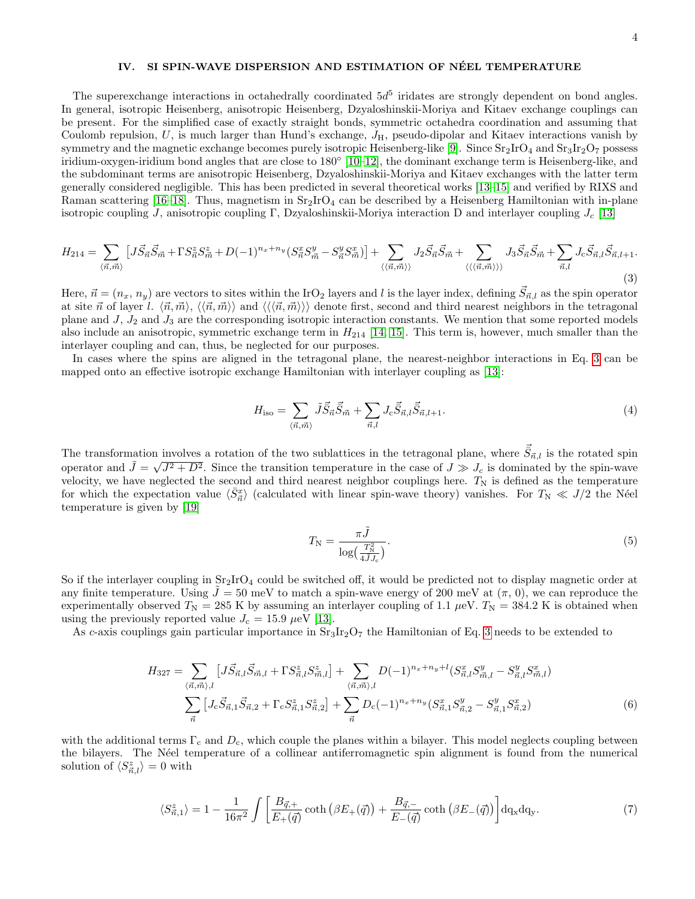### IV. SI SPIN-WAVE DISPERSION AND ESTIMATION OF NÉEL TEMPERATURE

The superexchange interactions in octahedrally coordinated  $5d^5$  iridates are strongly dependent on bond angles. In general, isotropic Heisenberg, anisotropic Heisenberg, Dzyaloshinskii-Moriya and Kitaev exchange couplings can be present. For the simplified case of exactly straight bonds, symmetric octahedra coordination and assuming that Coulomb repulsion,  $U$ , is much larger than Hund's exchange,  $J_H$ , pseudo-dipolar and Kitaev interactions vanish by symmetry and the magnetic exchange becomes purely isotropic Heisenberg-like [\[9\]](#page-4-7). Since  $Sr_2IrO_4$  and  $Sr_3Ir_2O_7$  possess iridium-oxygen-iridium bond angles that are close to 180◦ [\[10–](#page-4-8)[12\]](#page-4-9), the dominant exchange term is Heisenberg-like, and the subdominant terms are anisotropic Heisenberg, Dzyaloshinskii-Moriya and Kitaev exchanges with the latter term generally considered negligible. This has been predicted in several theoretical works [\[13–](#page-4-10)[15\]](#page-4-11) and verified by RIXS and Raman scattering [\[16](#page-4-12)[–18\]](#page-5-0). Thus, magnetism in  $Sr_2IrO_4$  can be described by a Heisenberg Hamiltonian with in-plane isotropic coupling J, anisotropic coupling Γ, Dzyaloshinskii-Moriya interaction D and interlayer coupling  $J_c$  [\[13\]](#page-4-10)

<span id="page-3-0"></span>
$$
H_{214} = \sum_{\langle \vec{n}, \vec{m} \rangle} \left[ J \vec{S}_{\vec{n}} \vec{S}_{\vec{m}} + \Gamma S_{\vec{n}}^z S_{\vec{m}}^z + D(-1)^{n_x + n_y} \left( S_{\vec{n}}^x S_{\vec{m}}^y - S_{\vec{n}}^y S_{\vec{m}}^x \right) \right] + \sum_{\langle \langle \vec{n}, \vec{m} \rangle \rangle} J_2 \vec{S}_{\vec{n}} \vec{S}_{\vec{m}} + \sum_{\langle \langle \langle \vec{n}, \vec{m} \rangle \rangle \rangle} J_3 \vec{S}_{\vec{n}} \vec{S}_{\vec{m}} + \sum_{\vec{n}, l} J_c \vec{S}_{\vec{n}, l} \vec{S}_{\vec{n}, l+1}.
$$
\n(3)

Here,  $\vec{n} = (n_x, n_y)$  are vectors to sites within the IrO<sub>2</sub> layers and l is the layer index, defining  $\vec{S}_{\vec{n},l}$  as the spin operator at site  $\vec{n}$  of layer l.  $\langle \vec{n}, \vec{m} \rangle$ ,  $\langle \langle \vec{n}, \vec{m} \rangle \rangle$  and  $\langle \langle \langle \vec{n}, \vec{m} \rangle \rangle \rangle$  denote first, second and third nearest neighbors in the tetragonal plane and  $J$ ,  $J_2$  and  $J_3$  are the corresponding isotropic interaction constants. We mention that some reported models also include an anisotropic, symmetric exchange term in  $H_{214}$  [\[14,](#page-4-13) [15\]](#page-4-11). This term is, however, much smaller than the interlayer coupling and can, thus, be neglected for our purposes.

In cases where the spins are aligned in the tetragonal plane, the nearest-neighbor interactions in Eq. [3](#page-3-0) can be mapped onto an effective isotropic exchange Hamiltonian with interlayer coupling as [\[13\]](#page-4-10):

$$
H_{\rm iso} = \sum_{\langle \vec{n}, \vec{m} \rangle} \tilde{J} \vec{S}_{\vec{n}} \vec{S}_{\vec{m}} + \sum_{\vec{n}, l} J_{\rm c} \vec{S}_{\vec{n}, l} \vec{S}_{\vec{n}, l+1}.
$$
\n(4)

The transformation involves a rotation of the two sublattices in the tetragonal plane, where  $\vec{S}_{\vec{n},l}$  is the rotated spin operator and  $\tilde{J} = \sqrt{J^2 + D^2}$ . Since the transition temperature in the case of  $J \gg J_c$  is dominated by the spin-wave velocity, we have neglected the second and third nearest neighbor couplings here.  $T_N$  is defined as the temperature for which the expectation value  $\langle \bar{S}_{\vec{n}}^x \rangle$  (calculated with linear spin-wave theory) vanishes. For  $T_N \ll J/2$  the Néel temperature is given by [\[19\]](#page-5-1)

$$
T_{\rm N} = \frac{\pi \tilde{J}}{\log\left(\frac{T_{\rm N}^2}{4\tilde{J}J_c}\right)}.\tag{5}
$$

So if the interlayer coupling in  $Sr_2IrO_4$  could be switched off, it would be predicted not to display magnetic order at any finite temperature. Using  $J = 50$  meV to match a spin-wave energy of 200 meV at  $(\pi, 0)$ , we can reproduce the experimentally observed  $T_N = 285$  K by assuming an interlayer coupling of 1.1  $\mu$ eV.  $T_N = 384.2$  K is obtained when using the previously reported value  $J_c = 15.9 \ \mu\text{eV}$  [\[13\]](#page-4-10).

As c-axis couplings gain particular importance in  $Sr_3Ir_2O_7$  the Hamiltonian of Eq. [3](#page-3-0) needs to be extended to

$$
H_{327} = \sum_{\langle \vec{n}, \vec{m} \rangle, l} \left[ J \vec{S}_{\vec{n},l} \vec{S}_{\vec{m},l} + \Gamma S_{\vec{n},l}^z S_{\vec{m},l}^z \right] + \sum_{\langle \vec{n}, \vec{m} \rangle, l} D(-1)^{n_x + n_y + l} (S_{\vec{n},l}^x S_{\vec{m},l}^y - S_{\vec{n},l}^y S_{\vec{m},l}^x)
$$

$$
\sum_{\vec{n}} \left[ J_c \vec{S}_{\vec{n},1} \vec{S}_{\vec{n},2} + \Gamma_c S_{\vec{n},1}^z S_{\vec{n},2}^z \right] + \sum_{\vec{n}} D_c (-1)^{n_x + n_y} (S_{\vec{n},1}^x S_{\vec{n},2}^y - S_{\vec{n},1}^y S_{\vec{n},2}^x)
$$
(6)

with the additional terms  $\Gamma_c$  and  $D_c$ , which couple the planes within a bilayer. This model neglects coupling between the bilayers. The Néel temperature of a collinear antiferromagnetic spin alignment is found from the numerical solution of  $\langle S^z_{\vec{n},l} \rangle = 0$  with

$$
\langle S_{\vec{n},1}^z \rangle = 1 - \frac{1}{16\pi^2} \int \left[ \frac{B_{\vec{q},+}}{E_+(\vec{q})} \coth\left(\beta E_+(\vec{q})\right) + \frac{B_{\vec{q},-}}{E_-(\vec{q})} \coth\left(\beta E_-(\vec{q})\right) \right] d\mathbf{q}_x d\mathbf{q}_y. \tag{7}
$$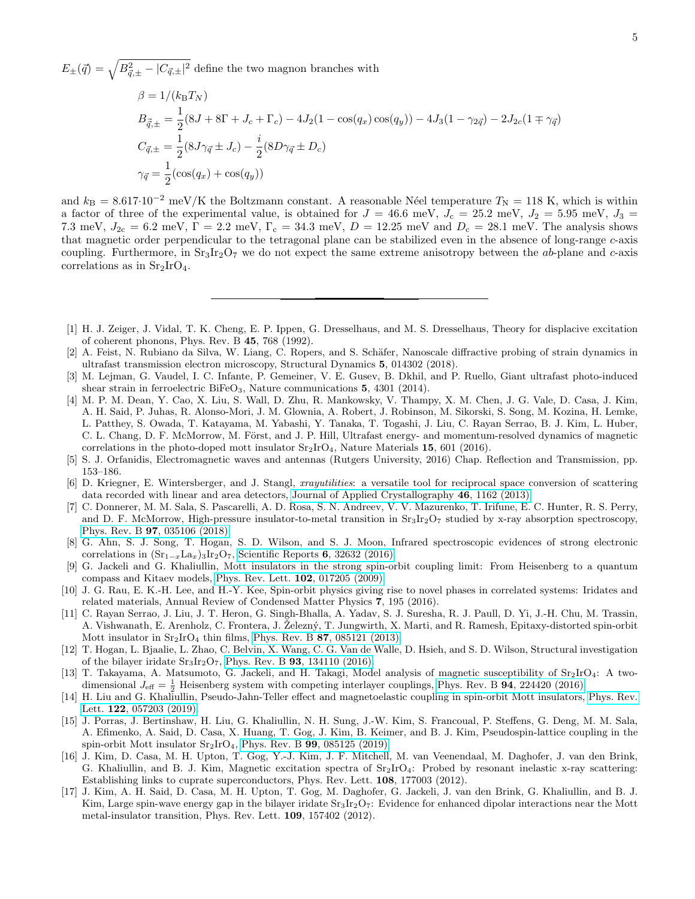$E_{\pm}(\vec{q}) = \sqrt{B_{\vec{q},\pm}^2 - |C_{\vec{q},\pm}|^2}$  define the two magnon branches with

$$
\beta = 1/(k_{\rm B}T_N)
$$
  
\n
$$
B_{\vec{q},\pm} = \frac{1}{2}(8J + 8\Gamma + J_c + \Gamma_c) - 4J_2(1 - \cos(q_x)\cos(q_y)) - 4J_3(1 - \gamma_{2\vec{q}}) - 2J_{2c}(1 \mp \gamma_{\vec{q}})
$$
  
\n
$$
C_{\vec{q},\pm} = \frac{1}{2}(8J\gamma_{\vec{q}} \pm J_c) - \frac{i}{2}(8D\gamma_{\vec{q}} \pm D_c)
$$
  
\n
$$
\gamma_{\vec{q}} = \frac{1}{2}(\cos(q_x) + \cos(q_y))
$$

and  $k_B = 8.617 \cdot 10^{-2}$  meV/K the Boltzmann constant. A reasonable Néel temperature  $T_N = 118$  K, which is within a factor of three of the experimental value, is obtained for  $J = 46.6$  meV,  $J_c = 25.2$  meV,  $J_2 = 5.95$  meV,  $J_3 =$ 7.3 meV,  $J_{2c} = 6.2$  meV,  $\Gamma = 2.2$  meV,  $\Gamma_c = 34.3$  meV,  $D = 12.25$  meV and  $D_c = 28.1$  meV. The analysis shows that magnetic order perpendicular to the tetragonal plane can be stabilized even in the absence of long-range c-axis coupling. Furthermore, in  $Sr_3Ir_2O_7$  we do not expect the same extreme anisotropy between the ab-plane and c-axis correlations as in  $Sr<sub>2</sub>IrO<sub>4</sub>$ .

- <span id="page-4-0"></span>[1] H. J. Zeiger, J. Vidal, T. K. Cheng, E. P. Ippen, G. Dresselhaus, and M. S. Dresselhaus, Theory for displacive excitation of coherent phonons, Phys. Rev. B 45, 768 (1992).
- [2] A. Feist, N. Rubiano da Silva, W. Liang, C. Ropers, and S. Schäfer, Nanoscale diffractive probing of strain dynamics in ultrafast transmission electron microscopy, Structural Dynamics 5, 014302 (2018).
- <span id="page-4-1"></span>[3] M. Lejman, G. Vaudel, I. C. Infante, P. Gemeiner, V. E. Gusev, B. Dkhil, and P. Ruello, Giant ultrafast photo-induced shear strain in ferroelectric BiFeO<sub>3</sub>, Nature communications 5, 4301 (2014).
- <span id="page-4-2"></span>[4] M. P. M. Dean, Y. Cao, X. Liu, S. Wall, D. Zhu, R. Mankowsky, V. Thampy, X. M. Chen, J. G. Vale, D. Casa, J. Kim, A. H. Said, P. Juhas, R. Alonso-Mori, J. M. Glownia, A. Robert, J. Robinson, M. Sikorski, S. Song, M. Kozina, H. Lemke, L. Patthey, S. Owada, T. Katayama, M. Yabashi, Y. Tanaka, T. Togashi, J. Liu, C. Rayan Serrao, B. J. Kim, L. Huber, C. L. Chang, D. F. McMorrow, M. Först, and J. P. Hill, Ultrafast energy- and momentum-resolved dynamics of magnetic correlations in the photo-doped mott insulator  $Sr_2IrO_4$ , Nature Materials 15, 601 (2016).
- <span id="page-4-3"></span>[5] S. J. Orfanidis, Electromagnetic waves and antennas (Rutgers University, 2016) Chap. Reflection and Transmission, pp. 153–186.
- <span id="page-4-4"></span>[6] D. Kriegner, E. Wintersberger, and J. Stangl, xrayutilities: a versatile tool for reciprocal space conversion of scattering data recorded with linear and area detectors, [Journal of Applied Crystallography](https://doi.org/10.1107/S0021889813017214) 46, 1162 (2013).
- <span id="page-4-5"></span>[7] C. Donnerer, M. M. Sala, S. Pascarelli, A. D. Rosa, S. N. Andreev, V. V. Mazurenko, T. Irifune, E. C. Hunter, R. S. Perry, and D. F. McMorrow, High-pressure insulator-to-metal transition in  $Sr_3Ir_2O_7$  studied by x-ray absorption spectroscopy, Phys. Rev. B 97[, 035106 \(2018\).](https://doi.org/10.1103/PhysRevB.97.035106)
- <span id="page-4-6"></span>[8] G. Ahn, S. J. Song, T. Hogan, S. D. Wilson, and S. J. Moon, Infrared spectroscopic evidences of strong electronic correlations in  $(Sr_{1-x}La_x) {}_{3}Ir_2O_7$ , [Scientific Reports](https://doi.org/10.1038/srep32632) 6, 32632 (2016).
- <span id="page-4-7"></span>[9] G. Jackeli and G. Khaliullin, Mott insulators in the strong spin-orbit coupling limit: From Heisenberg to a quantum compass and Kitaev models, [Phys. Rev. Lett.](https://doi.org/10.1103/PhysRevLett.102.017205) 102, 017205 (2009).
- <span id="page-4-8"></span>[10] J. G. Rau, E. K.-H. Lee, and H.-Y. Kee, Spin-orbit physics giving rise to novel phases in correlated systems: Iridates and related materials, Annual Review of Condensed Matter Physics 7, 195 (2016).
- [11] C. Rayan Serrao, J. Liu, J. T. Heron, G. Singh-Bhalla, A. Yadav, S. J. Suresha, R. J. Paull, D. Yi, J.-H. Chu, M. Trassin, A. Vishwanath, E. Arenholz, C. Frontera, J. Zelezný, T. Jungwirth, X. Marti, and R. Ramesh, Epitaxy-distorted spin-orbit Mott insulator in  $Sr_2IrO_4$  thin films, Phys. Rev. B 87[, 085121 \(2013\).](https://doi.org/10.1103/PhysRevB.87.085121)
- <span id="page-4-9"></span>[12] T. Hogan, L. Bjaalie, L. Zhao, C. Belvin, X. Wang, C. G. Van de Walle, D. Hsieh, and S. D. Wilson, Structural investigation of the bilayer iridate  $Sr_3Ir_2O_7$ , Phys. Rev. B **93**[, 134110 \(2016\).](https://doi.org/10.1103/PhysRevB.93.134110)
- <span id="page-4-10"></span>[13] T. Takayama, A. Matsumoto, G. Jackeli, and H. Takagi, Model analysis of magnetic susceptibility of Sr2IrO4: A twodimensional  $J_{\text{eff}} = \frac{1}{2}$  Heisenberg system with competing interlayer couplings, Phys. Rev. B **94**[, 224420 \(2016\).](https://doi.org/10.1103/PhysRevB.94.224420)
- <span id="page-4-13"></span>[14] H. Liu and G. Khaliullin, Pseudo-Jahn-Teller effect and magnetoelastic coupling in spin-orbit Mott insulators, [Phys. Rev.](https://doi.org/10.1103/PhysRevLett.122.057203) Lett. 122[, 057203 \(2019\).](https://doi.org/10.1103/PhysRevLett.122.057203)
- <span id="page-4-11"></span>[15] J. Porras, J. Bertinshaw, H. Liu, G. Khaliullin, N. H. Sung, J.-W. Kim, S. Francoual, P. Steffens, G. Deng, M. M. Sala, A. Efimenko, A. Said, D. Casa, X. Huang, T. Gog, J. Kim, B. Keimer, and B. J. Kim, Pseudospin-lattice coupling in the spin-orbit Mott insulator Sr2IrO4, Phys. Rev. B 99[, 085125 \(2019\).](https://doi.org/10.1103/PhysRevB.99.085125)
- <span id="page-4-12"></span>[16] J. Kim, D. Casa, M. H. Upton, T. Gog, Y.-J. Kim, J. F. Mitchell, M. van Veenendaal, M. Daghofer, J. van den Brink, G. Khaliullin, and B. J. Kim, Magnetic excitation spectra of Sr2IrO4: Probed by resonant inelastic x-ray scattering: Establishing links to cuprate superconductors, Phys. Rev. Lett. 108, 177003 (2012).
- [17] J. Kim, A. H. Said, D. Casa, M. H. Upton, T. Gog, M. Daghofer, G. Jackeli, J. van den Brink, G. Khaliullin, and B. J. Kim, Large spin-wave energy gap in the bilayer iridate  $Sr_3Ir_2O_7$ : Evidence for enhanced dipolar interactions near the Mott metal-insulator transition, Phys. Rev. Lett. 109, 157402 (2012).